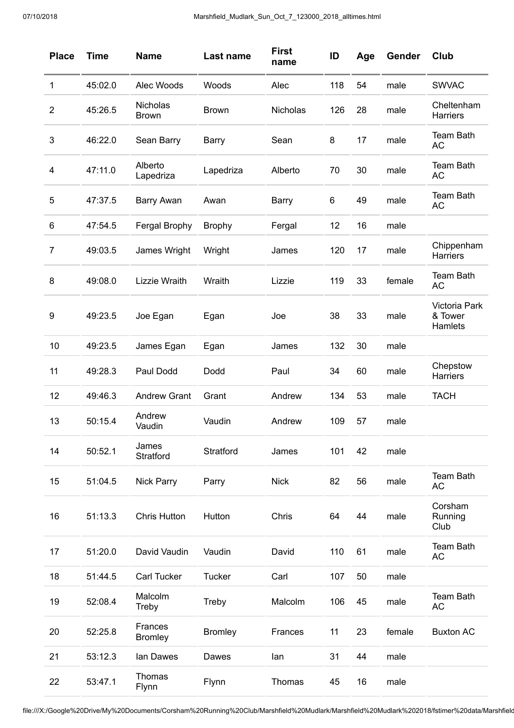| <b>Place</b>   | <b>Time</b> | <b>Name</b>               | Last name      | <b>First</b><br>name | ID  | Age | Gender | Club                                |
|----------------|-------------|---------------------------|----------------|----------------------|-----|-----|--------|-------------------------------------|
| 1              | 45:02.0     | Alec Woods                | Woods          | Alec                 | 118 | 54  | male   | <b>SWVAC</b>                        |
| $\overline{2}$ | 45:26.5     | Nicholas<br><b>Brown</b>  | <b>Brown</b>   | Nicholas             | 126 | 28  | male   | Cheltenham<br>Harriers              |
| 3              | 46:22.0     | Sean Barry                | <b>Barry</b>   | Sean                 | 8   | 17  | male   | <b>Team Bath</b><br><b>AC</b>       |
| 4              | 47:11.0     | Alberto<br>Lapedriza      | Lapedriza      | Alberto              | 70  | 30  | male   | <b>Team Bath</b><br><b>AC</b>       |
| 5              | 47:37.5     | <b>Barry Awan</b>         | Awan           | Barry                | 6   | 49  | male   | <b>Team Bath</b><br><b>AC</b>       |
| 6              | 47:54.5     | Fergal Brophy             | <b>Brophy</b>  | Fergal               | 12  | 16  | male   |                                     |
| $\overline{7}$ | 49:03.5     | James Wright              | Wright         | James                | 120 | 17  | male   | Chippenham<br><b>Harriers</b>       |
| 8              | 49:08.0     | Lizzie Wraith             | Wraith         | Lizzie               | 119 | 33  | female | <b>Team Bath</b><br><b>AC</b>       |
| 9              | 49:23.5     | Joe Egan                  | Egan           | Joe                  | 38  | 33  | male   | Victoria Park<br>& Tower<br>Hamlets |
| 10             | 49:23.5     | James Egan                | Egan           | James                | 132 | 30  | male   |                                     |
| 11             | 49:28.3     | Paul Dodd                 | Dodd           | Paul                 | 34  | 60  | male   | Chepstow<br>Harriers                |
| 12             | 49:46.3     | <b>Andrew Grant</b>       | Grant          | Andrew               | 134 | 53  | male   | <b>TACH</b>                         |
| 13             | 50:15.4     | Andrew<br>Vaudin          | Vaudin         | Andrew               | 109 | 57  | male   |                                     |
| 14             | 50:52.1     | James<br>Stratford        | Stratford      | James                | 101 | 42  | male   |                                     |
| 15             | 51:04.5     | <b>Nick Parry</b>         | Parry          | <b>Nick</b>          | 82  | 56  | male   | Team Bath<br>AC                     |
| 16             | 51:13.3     | <b>Chris Hutton</b>       | Hutton         | Chris                | 64  | 44  | male   | Corsham<br>Running<br>Club          |
| 17             | 51:20.0     | David Vaudin              | Vaudin         | David                | 110 | 61  | male   | <b>Team Bath</b><br><b>AC</b>       |
| 18             | 51:44.5     | <b>Carl Tucker</b>        | <b>Tucker</b>  | Carl                 | 107 | 50  | male   |                                     |
| 19             | 52:08.4     | Malcolm<br>Treby          | Treby          | Malcolm              | 106 | 45  | male   | <b>Team Bath</b><br><b>AC</b>       |
| 20             | 52:25.8     | Frances<br><b>Bromley</b> | <b>Bromley</b> | Frances              | 11  | 23  | female | <b>Buxton AC</b>                    |
| 21             | 53:12.3     | lan Dawes                 | Dawes          | lan                  | 31  | 44  | male   |                                     |
| 22             | 53:47.1     | Thomas<br>Flynn           | Flynn          | Thomas               | 45  | 16  | male   |                                     |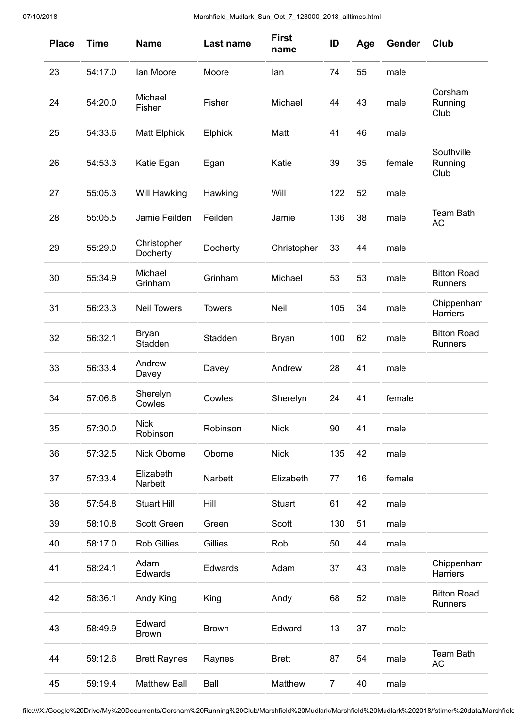| <b>Place</b> | <b>Time</b> | <b>Name</b>             | Last name     | <b>First</b><br>name | ID             | Age | Gender | <b>Club</b>                          |
|--------------|-------------|-------------------------|---------------|----------------------|----------------|-----|--------|--------------------------------------|
| 23           | 54:17.0     | lan Moore               | Moore         | lan                  | 74             | 55  | male   |                                      |
| 24           | 54:20.0     | Michael<br>Fisher       | Fisher        | Michael              | 44             | 43  | male   | Corsham<br>Running<br>Club           |
| 25           | 54:33.6     | <b>Matt Elphick</b>     | Elphick       | Matt                 | 41             | 46  | male   |                                      |
| 26           | 54:53.3     | Katie Egan              | Egan          | Katie                | 39             | 35  | female | Southville<br>Running<br>Club        |
| 27           | 55:05.3     | Will Hawking            | Hawking       | Will                 | 122            | 52  | male   |                                      |
| 28           | 55:05.5     | Jamie Feilden           | Feilden       | Jamie                | 136            | 38  | male   | <b>Team Bath</b><br><b>AC</b>        |
| 29           | 55:29.0     | Christopher<br>Docherty | Docherty      | Christopher          | 33             | 44  | male   |                                      |
| 30           | 55:34.9     | Michael<br>Grinham      | Grinham       | Michael              | 53             | 53  | male   | <b>Bitton Road</b><br><b>Runners</b> |
| 31           | 56:23.3     | <b>Neil Towers</b>      | <b>Towers</b> | Neil                 | 105            | 34  | male   | Chippenham<br>Harriers               |
| 32           | 56:32.1     | <b>Bryan</b><br>Stadden | Stadden       | <b>Bryan</b>         | 100            | 62  | male   | <b>Bitton Road</b><br><b>Runners</b> |
| 33           | 56:33.4     | Andrew<br>Davey         | Davey         | Andrew               | 28             | 41  | male   |                                      |
| 34           | 57:06.8     | Sherelyn<br>Cowles      | Cowles        | Sherelyn             | 24             | 41  | female |                                      |
| 35           | 57:30.0     | <b>Nick</b><br>Robinson | Robinson      | <b>Nick</b>          | 90             | 41  | male   |                                      |
| 36           | 57:32.5     | Nick Oborne             | Oborne        | <b>Nick</b>          | 135            | 42  | male   |                                      |
| 37           | 57:33.4     | Elizabeth<br>Narbett    | Narbett       | Elizabeth            | 77             | 16  | female |                                      |
| 38           | 57:54.8     | <b>Stuart Hill</b>      | Hill          | <b>Stuart</b>        | 61             | 42  | male   |                                      |
| 39           | 58:10.8     | Scott Green             | Green         | Scott                | 130            | 51  | male   |                                      |
| 40           | 58:17.0     | <b>Rob Gillies</b>      | Gillies       | Rob                  | 50             | 44  | male   |                                      |
| 41           | 58:24.1     | Adam<br>Edwards         | Edwards       | Adam                 | 37             | 43  | male   | Chippenham<br>Harriers               |
| 42           | 58:36.1     | Andy King               | King          | Andy                 | 68             | 52  | male   | <b>Bitton Road</b><br>Runners        |
| 43           | 58:49.9     | Edward<br><b>Brown</b>  | <b>Brown</b>  | Edward               | 13             | 37  | male   |                                      |
| 44           | 59:12.6     | <b>Brett Raynes</b>     | Raynes        | <b>Brett</b>         | 87             | 54  | male   | <b>Team Bath</b><br><b>AC</b>        |
| 45           | 59:19.4     | <b>Matthew Ball</b>     | Ball          | Matthew              | $\overline{7}$ | 40  | male   |                                      |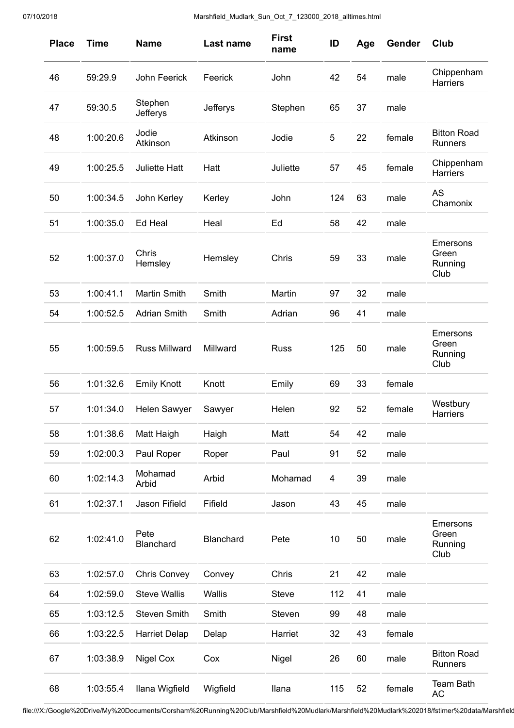| <b>Place</b> | <b>Time</b> | <b>Name</b>                | Last name | <b>First</b><br>name | ID  | Age | Gender | <b>Club</b>                          |
|--------------|-------------|----------------------------|-----------|----------------------|-----|-----|--------|--------------------------------------|
| 46           | 59:29.9     | John Feerick               | Feerick   | John                 | 42  | 54  | male   | Chippenham<br><b>Harriers</b>        |
| 47           | 59:30.5     | Stephen<br><b>Jefferys</b> | Jefferys  | Stephen              | 65  | 37  | male   |                                      |
| 48           | 1:00:20.6   | Jodie<br>Atkinson          | Atkinson  | Jodie                | 5   | 22  | female | <b>Bitton Road</b><br><b>Runners</b> |
| 49           | 1:00:25.5   | <b>Juliette Hatt</b>       | Hatt      | Juliette             | 57  | 45  | female | Chippenham<br>Harriers               |
| 50           | 1:00:34.5   | John Kerley                | Kerley    | John                 | 124 | 63  | male   | <b>AS</b><br>Chamonix                |
| 51           | 1:00:35.0   | Ed Heal                    | Heal      | Ed                   | 58  | 42  | male   |                                      |
| 52           | 1:00:37.0   | Chris<br>Hemsley           | Hemsley   | Chris                | 59  | 33  | male   | Emersons<br>Green<br>Running<br>Club |
| 53           | 1:00:41.1   | <b>Martin Smith</b>        | Smith     | Martin               | 97  | 32  | male   |                                      |
| 54           | 1:00:52.5   | <b>Adrian Smith</b>        | Smith     | Adrian               | 96  | 41  | male   |                                      |
| 55           | 1:00:59.5   | <b>Russ Millward</b>       | Millward  | <b>Russ</b>          | 125 | 50  | male   | Emersons<br>Green<br>Running<br>Club |
| 56           | 1:01:32.6   | <b>Emily Knott</b>         | Knott     | Emily                | 69  | 33  | female |                                      |
| 57           | 1:01:34.0   | Helen Sawyer               | Sawyer    | Helen                | 92  | 52  | female | Westbury<br>Harriers                 |
| 58           | 1:01:38.6   | Matt Haigh                 | Haigh     | Matt                 | 54  | 42  | male   |                                      |
| 59           | 1:02:00.3   | Paul Roper                 | Roper     | Paul                 | 91  | 52  | male   |                                      |
| 60           | 1:02:14.3   | Mohamad<br>Arbid           | Arbid     | Mohamad              | 4   | 39  | male   |                                      |
| 61           | 1:02:37.1   | Jason Fifield              | Fifield   | Jason                | 43  | 45  | male   |                                      |
| 62           | 1:02:41.0   | Pete<br>Blanchard          | Blanchard | Pete                 | 10  | 50  | male   | Emersons<br>Green<br>Running<br>Club |
| 63           | 1:02:57.0   | <b>Chris Convey</b>        | Convey    | Chris                | 21  | 42  | male   |                                      |
| 64           | 1:02:59.0   | <b>Steve Wallis</b>        | Wallis    | Steve                | 112 | 41  | male   |                                      |
| 65           | 1:03:12.5   | <b>Steven Smith</b>        | Smith     | Steven               | 99  | 48  | male   |                                      |
| 66           | 1:03:22.5   | <b>Harriet Delap</b>       | Delap     | Harriet              | 32  | 43  | female |                                      |
| 67           | 1:03:38.9   | Nigel Cox                  | Cox       | Nigel                | 26  | 60  | male   | <b>Bitton Road</b><br><b>Runners</b> |
| 68           | 1:03:55.4   | Ilana Wigfield             | Wigfield  | <b>Ilana</b>         | 115 | 52  | female | <b>Team Bath</b><br><b>AC</b>        |

file:///X:/Google%20Drive/My%20Documents/Corsham%20Running%20Club/Marshfield%20Mudlark/Marshfield%20Mudlark%202018/fstimer%20data/Marshfield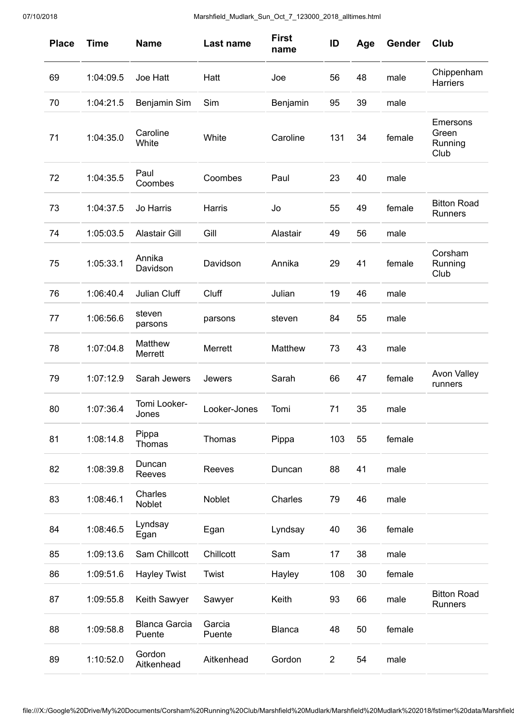| <b>Place</b> | <b>Time</b> | <b>Name</b>                    | Last name        | <b>First</b><br>name | ID             | Age | Gender | Club                                 |
|--------------|-------------|--------------------------------|------------------|----------------------|----------------|-----|--------|--------------------------------------|
| 69           | 1:04:09.5   | Joe Hatt                       | Hatt             | Joe                  | 56             | 48  | male   | Chippenham<br>Harriers               |
| 70           | 1:04:21.5   | Benjamin Sim                   | Sim              | Benjamin             | 95             | 39  | male   |                                      |
| 71           | 1:04:35.0   | Caroline<br>White              | White            | Caroline             | 131            | 34  | female | Emersons<br>Green<br>Running<br>Club |
| 72           | 1:04:35.5   | Paul<br>Coombes                | Coombes          | Paul                 | 23             | 40  | male   |                                      |
| 73           | 1:04:37.5   | Jo Harris                      | Harris           | Jo                   | 55             | 49  | female | <b>Bitton Road</b><br><b>Runners</b> |
| 74           | 1:05:03.5   | <b>Alastair Gill</b>           | Gill             | Alastair             | 49             | 56  | male   |                                      |
| 75           | 1:05:33.1   | Annika<br>Davidson             | Davidson         | Annika               | 29             | 41  | female | Corsham<br>Running<br>Club           |
| 76           | 1:06:40.4   | Julian Cluff                   | Cluff            | Julian               | 19             | 46  | male   |                                      |
| 77           | 1:06:56.6   | steven<br>parsons              | parsons          | steven               | 84             | 55  | male   |                                      |
| 78           | 1:07:04.8   | Matthew<br>Merrett             | Merrett          | Matthew              | 73             | 43  | male   |                                      |
| 79           | 1:07:12.9   | Sarah Jewers                   | Jewers           | Sarah                | 66             | 47  | female | <b>Avon Valley</b><br>runners        |
| 80           | 1:07:36.4   | Tomi Looker-<br>Jones          | Looker-Jones     | Tomi                 | 71             | 35  | male   |                                      |
| 81           | 1:08:14.8   | Pippa<br>Thomas                | Thomas           | Pippa                | 103            | 55  | female |                                      |
| 82           | 1:08:39.8   | Duncan<br>Reeves               | Reeves           | Duncan               | 88             | 41  | male   |                                      |
| 83           | 1:08:46.1   | Charles<br>Noblet              | Noblet           | Charles              | 79             | 46  | male   |                                      |
| 84           | 1:08:46.5   | Lyndsay<br>Egan                | Egan             | Lyndsay              | 40             | 36  | female |                                      |
| 85           | 1:09:13.6   | Sam Chillcott                  | Chillcott        | Sam                  | 17             | 38  | male   |                                      |
| 86           | 1:09:51.6   | <b>Hayley Twist</b>            | Twist            | Hayley               | 108            | 30  | female |                                      |
| 87           | 1:09:55.8   | Keith Sawyer                   | Sawyer           | Keith                | 93             | 66  | male   | <b>Bitton Road</b><br>Runners        |
| 88           | 1:09:58.8   | <b>Blanca Garcia</b><br>Puente | Garcia<br>Puente | <b>Blanca</b>        | 48             | 50  | female |                                      |
| 89           | 1:10:52.0   | Gordon<br>Aitkenhead           | Aitkenhead       | Gordon               | $\overline{2}$ | 54  | male   |                                      |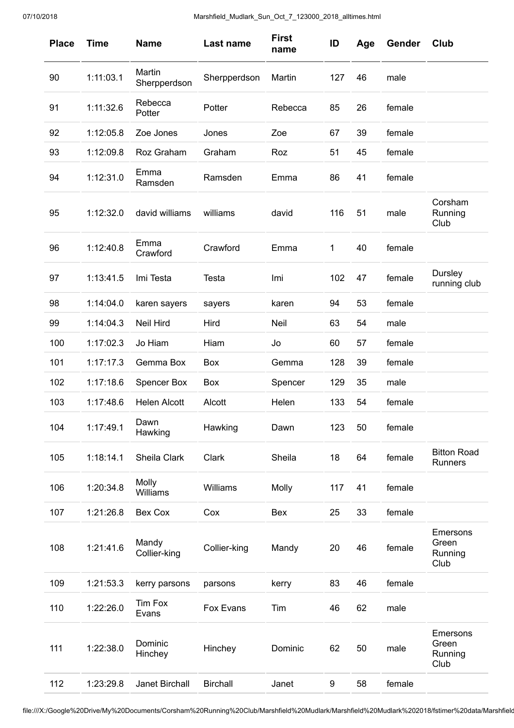| <b>Place</b> | <b>Time</b> | <b>Name</b>            | Last name       | <b>First</b><br>name | ID  | Age | Gender | Club                                 |
|--------------|-------------|------------------------|-----------------|----------------------|-----|-----|--------|--------------------------------------|
| 90           | 1:11:03.1   | Martin<br>Sherpperdson | Sherpperdson    | Martin               | 127 | 46  | male   |                                      |
| 91           | 1:11:32.6   | Rebecca<br>Potter      | Potter          | Rebecca              | 85  | 26  | female |                                      |
| 92           | 1:12:05.8   | Zoe Jones              | Jones           | Zoe                  | 67  | 39  | female |                                      |
| 93           | 1:12:09.8   | Roz Graham             | Graham          | Roz                  | 51  | 45  | female |                                      |
| 94           | 1:12:31.0   | Emma<br>Ramsden        | Ramsden         | Emma                 | 86  | 41  | female |                                      |
| 95           | 1:12:32.0   | david williams         | williams        | david                | 116 | 51  | male   | Corsham<br>Running<br>Club           |
| 96           | 1:12:40.8   | Emma<br>Crawford       | Crawford        | Emma                 | 1   | 40  | female |                                      |
| 97           | 1:13:41.5   | Imi Testa              | Testa           | Imi                  | 102 | 47  | female | Dursley<br>running club              |
| 98           | 1:14:04.0   | karen sayers           | sayers          | karen                | 94  | 53  | female |                                      |
| 99           | 1:14:04.3   | <b>Neil Hird</b>       | Hird            | Neil                 | 63  | 54  | male   |                                      |
| 100          | 1:17:02.3   | Jo Hiam                | Hiam            | Jo                   | 60  | 57  | female |                                      |
| 101          | 1:17:17.3   | Gemma Box              | Box             | Gemma                | 128 | 39  | female |                                      |
| 102          | 1:17:18.6   | <b>Spencer Box</b>     | Box             | Spencer              | 129 | 35  | male   |                                      |
| 103          | 1:17:48.6   | <b>Helen Alcott</b>    | Alcott          | Helen                | 133 | 54  | female |                                      |
| 104          | 1:17:49.1   | Dawn<br>Hawking        | Hawking         | Dawn                 | 123 | 50  | female |                                      |
| 105          | 1:18:14.1   | Sheila Clark           | Clark           | Sheila               | 18  | 64  | female | <b>Bitton Road</b><br>Runners        |
| 106          | 1:20:34.8   | Molly<br>Williams      | Williams        | Molly                | 117 | 41  | female |                                      |
| 107          | 1:21:26.8   | Bex Cox                | Cox             | Bex                  | 25  | 33  | female |                                      |
| 108          | 1:21:41.6   | Mandy<br>Collier-king  | Collier-king    | Mandy                | 20  | 46  | female | Emersons<br>Green<br>Running<br>Club |
| 109          | 1:21:53.3   | kerry parsons          | parsons         | kerry                | 83  | 46  | female |                                      |
| 110          | 1:22:26.0   | Tim Fox<br>Evans       | Fox Evans       | Tim                  | 46  | 62  | male   |                                      |
| 111          | 1:22:38.0   | Dominic<br>Hinchey     | Hinchey         | Dominic              | 62  | 50  | male   | Emersons<br>Green<br>Running<br>Club |
| 112          | 1:23:29.8   | Janet Birchall         | <b>Birchall</b> | Janet                | 9   | 58  | female |                                      |